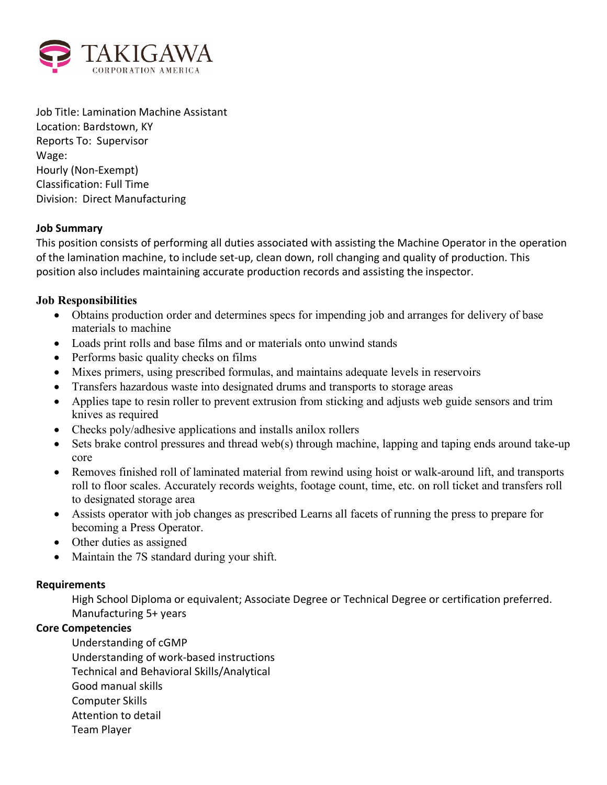

Job Title: Lamination Machine Assistant Location: Bardstown, KY Reports To: Supervisor Wage: Hourly (Non-Exempt) Classification: Full Time Division: Direct Manufacturing

### **Job Summary**

This position consists of performing all duties associated with assisting the Machine Operator in the operation of the lamination machine, to include set-up, clean down, roll changing and quality of production. This position also includes maintaining accurate production records and assisting the inspector.

# **Job Responsibilities**

- Obtains production order and determines specs for impending job and arranges for delivery of base materials to machine
- Loads print rolls and base films and or materials onto unwind stands
- Performs basic quality checks on films
- Mixes primers, using prescribed formulas, and maintains adequate levels in reservoirs
- Transfers hazardous waste into designated drums and transports to storage areas
- Applies tape to resin roller to prevent extrusion from sticking and adjusts web guide sensors and trim knives as required
- Checks poly/adhesive applications and installs anilox rollers
- Sets brake control pressures and thread web(s) through machine, lapping and taping ends around take-up core
- Removes finished roll of laminated material from rewind using hoist or walk-around lift, and transports roll to floor scales. Accurately records weights, footage count, time, etc. on roll ticket and transfers roll to designated storage area
- Assists operator with job changes as prescribed Learns all facets of running the press to prepare for becoming a Press Operator.
- Other duties as assigned
- Maintain the 7S standard during your shift.

# **Requirements**

High School Diploma or equivalent; Associate Degree or Technical Degree or certification preferred. Manufacturing 5+ years

# **Core Competencies**

Understanding of cGMP Understanding of work-based instructions Technical and Behavioral Skills/Analytical Good manual skills Computer Skills Attention to detail Team Player